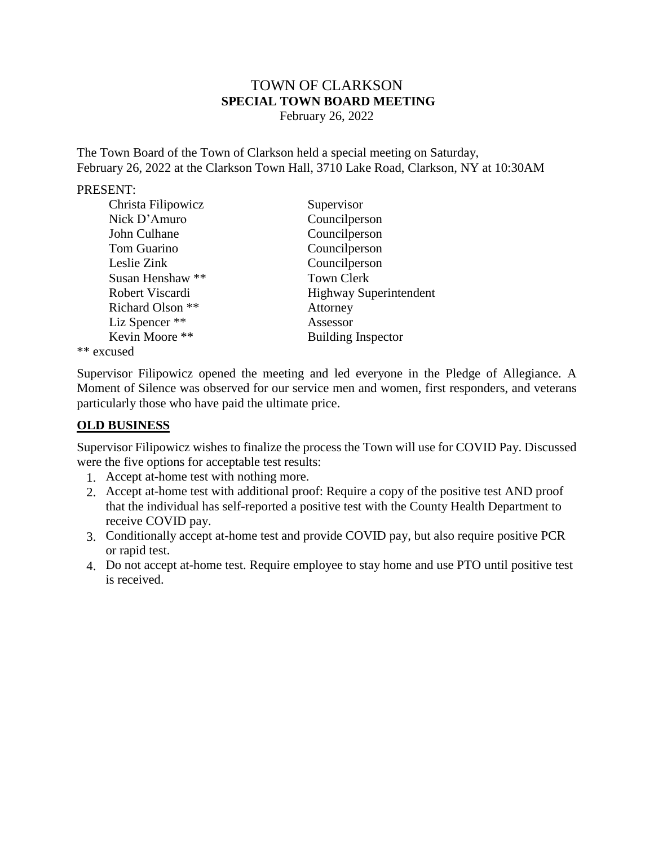# TOWN OF CLARKSON **SPECIAL TOWN BOARD MEETING** February 26, 2022

The Town Board of the Town of Clarkson held a special meeting on Saturday, February 26, 2022 at the Clarkson Town Hall, 3710 Lake Road, Clarkson, NY at 10:30AM

### PRESENT:

| Christa Filipowicz | Supervisor                    |
|--------------------|-------------------------------|
| Nick D'Amuro       | Councilperson                 |
| John Culhane       | Councilperson                 |
| Tom Guarino        | Councilperson                 |
| Leslie Zink        | Councilperson                 |
| Susan Henshaw **   | <b>Town Clerk</b>             |
| Robert Viscardi    | <b>Highway Superintendent</b> |
| Richard Olson **   | Attorney                      |
| Liz Spencer **     | Assessor                      |
| Kevin Moore **     | <b>Building Inspector</b>     |
| المموجود بجوابلا   |                               |

\*\* excused

Supervisor Filipowicz opened the meeting and led everyone in the Pledge of Allegiance. A Moment of Silence was observed for our service men and women, first responders, and veterans particularly those who have paid the ultimate price.

# **OLD BUSINESS**

Supervisor Filipowicz wishes to finalize the process the Town will use for COVID Pay. Discussed were the five options for acceptable test results:

- 1. Accept at-home test with nothing more.
- 2. Accept at-home test with additional proof: Require a copy of the positive test AND proof that the individual has self-reported a positive test with the County Health Department to receive COVID pay.
- 3. Conditionally accept at-home test and provide COVID pay, but also require positive PCR or rapid test.
- 4. Do not accept at-home test. Require employee to stay home and use PTO until positive test is received.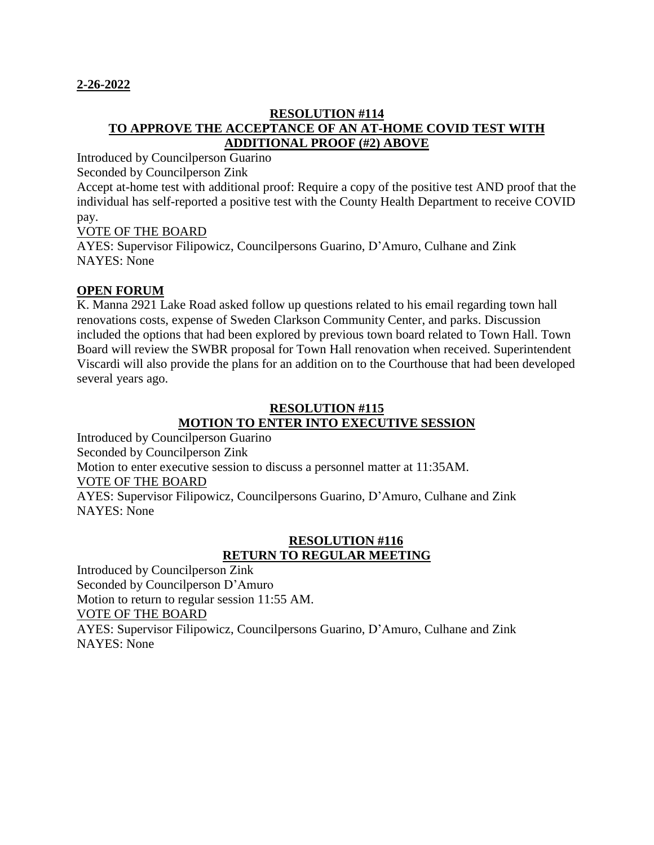## **2-26-2022**

# **RESOLUTION #114 TO APPROVE THE ACCEPTANCE OF AN AT-HOME COVID TEST WITH ADDITIONAL PROOF (#2) ABOVE**

Introduced by Councilperson Guarino

Seconded by Councilperson Zink

Accept at-home test with additional proof: Require a copy of the positive test AND proof that the individual has self-reported a positive test with the County Health Department to receive COVID pay.

# VOTE OF THE BOARD

AYES: Supervisor Filipowicz, Councilpersons Guarino, D'Amuro, Culhane and Zink NAYES: None

# **OPEN FORUM**

K. Manna 2921 Lake Road asked follow up questions related to his email regarding town hall renovations costs, expense of Sweden Clarkson Community Center, and parks. Discussion included the options that had been explored by previous town board related to Town Hall. Town Board will review the SWBR proposal for Town Hall renovation when received. Superintendent Viscardi will also provide the plans for an addition on to the Courthouse that had been developed several years ago.

## **RESOLUTION #115 MOTION TO ENTER INTO EXECUTIVE SESSION**

Introduced by Councilperson Guarino Seconded by Councilperson Zink Motion to enter executive session to discuss a personnel matter at 11:35AM. VOTE OF THE BOARD AYES: Supervisor Filipowicz, Councilpersons Guarino, D'Amuro, Culhane and Zink NAYES: None

# **RESOLUTION #116 RETURN TO REGULAR MEETING**

Introduced by Councilperson Zink Seconded by Councilperson D'Amuro Motion to return to regular session 11:55 AM. VOTE OF THE BOARD AYES: Supervisor Filipowicz, Councilpersons Guarino, D'Amuro, Culhane and Zink NAYES: None